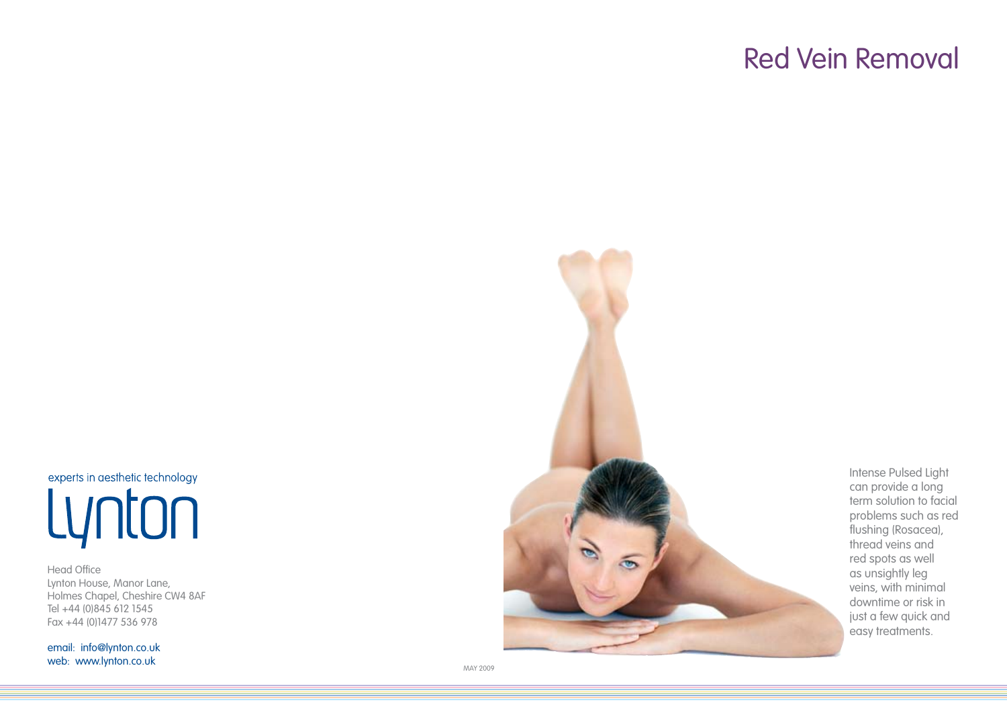# Red Vein Removal

experts in aesthetic technology Lynton

Head Office Lynton House, Manor Lane, Holmes Chapel, Cheshire CW4 8AF Tel +44 (0)845 612 1545 Fax +44 (0)1477 536 978

email: info@lynton.co.uk web: www.lynton.co.uk



Intense Pulsed Light can provide a long term solution to facial problems such as red flushing (Rosacea), thread veins and red spots as well as unsightly leg veins, with minimal downtime or risk in just a few quick and easy treatments.